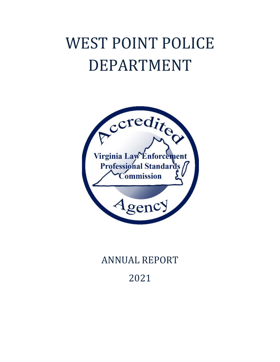## WEST POINT POLICE DEPARTMENT



## **ANNUAL REPORT**

2021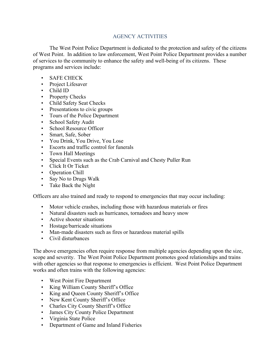## AGENCY ACTIVITIES

The West Point Police Department is dedicated to the protection and safety of the citizens of West Point. In addition to law enforcement, West Point Police Department provides a number of services to the community to enhance the safety and well-being of its citizens. These programs and services include:

- SAFE CHECK
- Project Lifesaver
- Child ID
- Property Checks
- Child Safety Seat Checks
- Presentations to civic groups
- Tours of the Police Department
- School Safety Audit
- School Resource Officer
- Smart, Safe, Sober
- You Drink, You Drive, You Lose
- Escorts and traffic control for funerals
- Town Hall Meetings
- Special Events such as the Crab Carnival and Chesty Puller Run
- Click It Or Ticket
- Operation Chill
- Say No to Drugs Walk
- Take Back the Night

Officers are also trained and ready to respond to emergencies that may occur including:

- Motor vehicle crashes, including those with hazardous materials or fires
- Natural disasters such as hurricanes, tornadoes and heavy snow
- Active shooter situations
- Hostage/barricade situations
- Man-made disasters such as fires or hazardous material spills
- Civil disturbances

The above emergencies often require response from multiple agencies depending upon the size, scope and severity. The West Point Police Department promotes good relationships and trains with other agencies so that response to emergencies is efficient. West Point Police Department works and often trains with the following agencies:

- West Point Fire Department
- King William County Sheriff's Office
- King and Queen County Sheriff's Office
- New Kent County Sheriff's Office
- Charles City County Sheriff's Office
- James City County Police Department
- Virginia State Police
- Department of Game and Inland Fisheries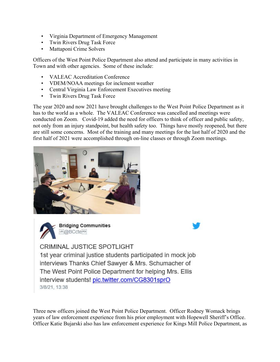- Virginia Department of Emergency Management
- Twin Rivers Drug Task Force
- Mattaponi Crime Solvers

Officers of the West Point Police Department also attend and participate in many activities in Town and with other agencies. Some of these include:

- VALEAC Accreditation Conference
- VDEM/NOAA meetings for inclement weather
- Central Virginia Law Enforcement Executives meeting
- Twin Rivers Drug Task Force

The year 2020 and now 2021 have brought challenges to the West Point Police Department as it has to the world as a whole. The VALEAC Conference was cancelled and meetings were conducted on Zoom. Covid-19 added the need for officers to think of officer and public safety, not only from an injury standpoint, but health safety too. Things have mostly reopened, but there are still some concerns. Most of the training and many meetings for the last half of 2020 and the first half of 2021 were accomplished through on-line classes or through Zoom meetings.





**Bridging Communities** 

**CRIMINAL JUSTICE SPOTLIGHT** 1st year criminal justice students participated in mock job interviews Thanks Chief Sawyer & Mrs. Schumacher of The West Point Police Department for helping Mrs. Ellis interview students! pic.twitter.com/CG8301sprO 3/8/21, 13:38

Three new officers joined the West Point Police Department. Officer Rodney Womack brings years of law enforcement experience from his prior employment with Hopewell Sheriff's Office. Officer Katie Bujarski also has law enforcement experience for Kings Mill Police Department, as